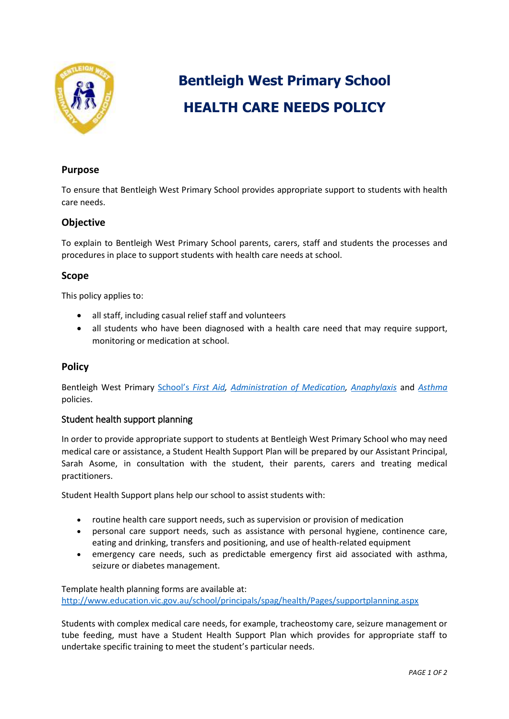

# **Bentleigh West Primary School HEALTH CARE NEEDS POLICY**

## **Purpose**

To ensure that Bentleigh West Primary School provides appropriate support to students with health care needs.

## **Objective**

To explain to Bentleigh West Primary School parents, carers, staff and students the processes and procedures in place to support students with health care needs at school.

## **Scope**

This policy applies to:

- all staff, including casual relief staff and volunteers
- all students who have been diagnosed with a health care need that may require support, monitoring or medication at school.

## **Policy**

Bentleigh West Primary School's *[First Aid, Administration of Medication, Anaphylaxis](https://www.bentleighwestps.vic.edu.au/our-policies)* and *[Asthma](https://www.bentleighwestps.vic.edu.au/our-policies)* policies.

## Student health support planning

In order to provide appropriate support to students at Bentleigh West Primary School who may need medical care or assistance, a Student Health Support Plan will be prepared by our Assistant Principal, Sarah Asome, in consultation with the student, their parents, carers and treating medical practitioners.

Student Health Support plans help our school to assist students with:

- routine health care support needs, such as supervision or provision of medication
- personal care support needs, such as assistance with personal hygiene, continence care, eating and drinking, transfers and positioning, and use of health-related equipment
- emergency care needs, such as predictable emergency first aid associated with asthma, seizure or diabetes management.

Template health planning forms are available at: <http://www.education.vic.gov.au/school/principals/spag/health/Pages/supportplanning.aspx>

Students with complex medical care needs, for example, tracheostomy care, seizure management or tube feeding, must have a Student Health Support Plan which provides for appropriate staff to undertake specific training to meet the student's particular needs.